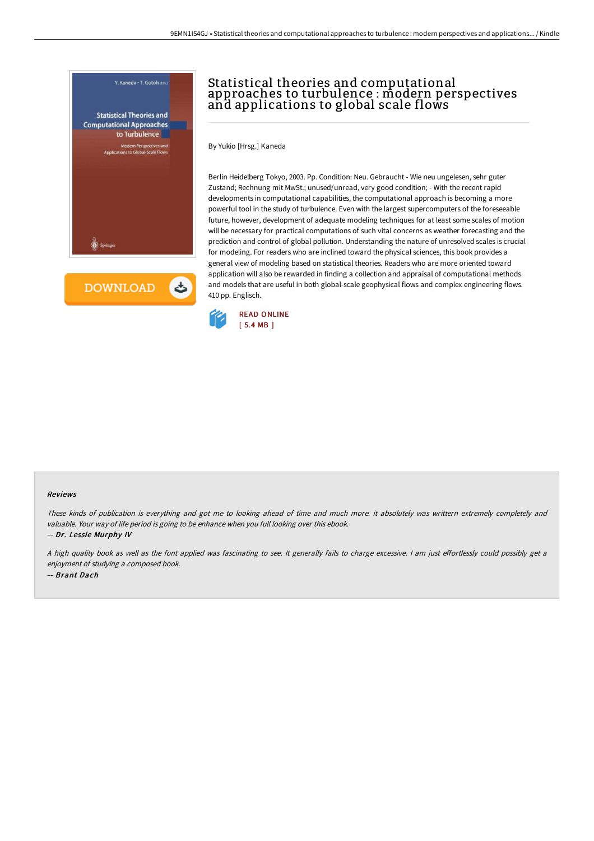

**DOWNLOAD** 

ٹ

## Statistical theories and computational approaches to turbulence : modern perspectives and applications to global scale flows

By Yukio [Hrsg.] Kaneda

Berlin Heidelberg Tokyo, 2003. Pp. Condition: Neu. Gebraucht - Wie neu ungelesen, sehr guter Zustand; Rechnung mit MwSt.; unused/unread, very good condition; - With the recent rapid developments in computational capabilities, the computational approach is becoming a more powerful tool in the study of turbulence. Even with the largest supercomputers of the foreseeable future, however, development of adequate modeling techniques for at least some scales of motion will be necessary for practical computations of such vital concerns as weather forecasting and the prediction and control of global pollution. Understanding the nature of unresolved scales is crucial for modeling. For readers who are inclined toward the physical sciences, this book provides a general view of modeling based on statistical theories. Readers who are more oriented toward application will also be rewarded in finding a collection and appraisal of computational methods and models that are useful in both global-scale geophysical flows and complex engineering flows. 410 pp. Englisch.



## Reviews

These kinds of publication is everything and got me to looking ahead of time and much more. it absolutely was writtern extremely completely and valuable. Your way of life period is going to be enhance when you full looking over this ebook.

-- Dr. Lessie Murphy IV

A high quality book as well as the font applied was fascinating to see. It generally fails to charge excessive. I am just effortlessly could possibly get a enjoyment of studying <sup>a</sup> composed book. -- Brant Dach